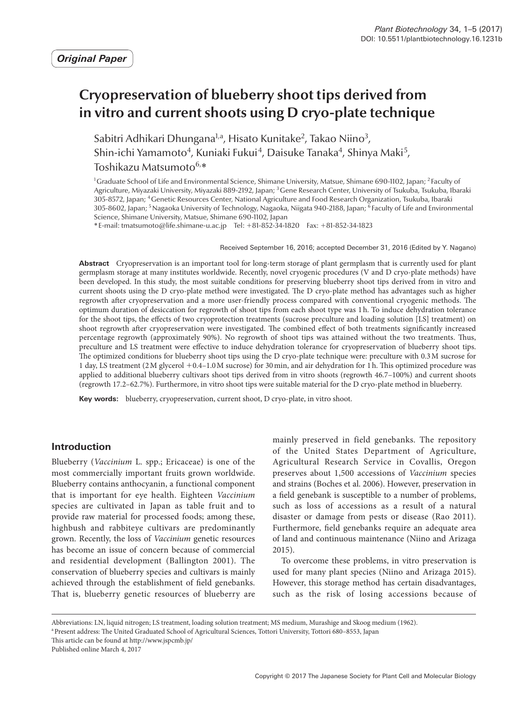# **Cryopreservation of blueberry shoot tips derived from in vitro and current shoots using D cryo-plate technique**

Sabitri Adhikari Dhungana<sup>1,a</sup>, Hisato Kunitake<sup>2</sup>, Takao Niino<sup>3</sup>, Shin-ichi Yamamoto<sup>4</sup>, Kuniaki Fukui<sup>4</sup>, Daisuke Tanaka<sup>4</sup>, Shinya Maki<sup>5</sup>, Toshikazu Matsumoto<sup>6,</sup>\*

<sup>1</sup>Graduate School of Life and Environmental Science, Shimane University, Matsue, Shimane 690-1102, Japan; <sup>2</sup> Faculty of Agriculture, Miyazaki University, Miyazaki 889-2192, Japan; 3Gene Research Center, University of Tsukuba, Tsukuba, Ibaraki 305-8572, Japan; 4Genetic Resources Center, National Agriculture and Food Research Organization, Tsukuba, Ibaraki 305-8602, Japan; 5Nagaoka University of Technology, Nagaoka, Niigata 940-2188, Japan; 6 Faculty of Life and Environmental Science, Shimane University, Matsue, Shimane 690-1102, Japan

\*E-mail: tmatsumoto@life.shimane-u.ac.jp Tel: +81-852-34-1820 Fax: +81-852-34-1823

Received September 16, 2016; accepted December 31, 2016 (Edited by Y. Nagano)

**Abstract** Cryopreservation is an important tool for long-term storage of plant germplasm that is currently used for plant germplasm storage at many institutes worldwide. Recently, novel cryogenic procedures (V and D cryo-plate methods) have been developed. In this study, the most suitable conditions for preserving blueberry shoot tips derived from in vitro and current shoots using the D cryo-plate method were investigated. The D cryo-plate method has advantages such as higher regrowth after cryopreservation and a more user-friendly process compared with conventional cryogenic methods. The optimum duration of desiccation for regrowth of shoot tips from each shoot type was 1h. To induce dehydration tolerance for the shoot tips, the effects of two cryoprotection treatments (sucrose preculture and loading solution [LS] treatment) on shoot regrowth after cryopreservation were investigated. The combined effect of both treatments significantly increased percentage regrowth (approximately 90%). No regrowth of shoot tips was attained without the two treatments. Thus, preculture and LS treatment were effective to induce dehydration tolerance for cryopreservation of blueberry shoot tips. The optimized conditions for blueberry shoot tips using the D cryo-plate technique were: preculture with 0.3M sucrose for 1 day, LS treatment (2M glycerol +0.4–1.0M sucrose) for 30min, and air dehydration for 1h. This optimized procedure was applied to additional blueberry cultivars shoot tips derived from in vitro shoots (regrowth 46.7–100%) and current shoots (regrowth 17.2–62.7%). Furthermore, in vitro shoot tips were suitable material for the D cryo-plate method in blueberry.

**Key words:** blueberry, cryopreservation, current shoot, D cryo-plate, in vitro shoot.

# **Introduction**

Blueberry (*Vaccinium* L. spp.; Ericaceae) is one of the most commercially important fruits grown worldwide. Blueberry contains anthocyanin, a functional component that is important for eye health. Eighteen *Vaccinium* species are cultivated in Japan as table fruit and to provide raw material for processed foods; among these, highbush and rabbiteye cultivars are predominantly grown. Recently, the loss of *Vaccinium* genetic resources has become an issue of concern because of commercial and residential development (Ballington 2001). The conservation of blueberry species and cultivars is mainly achieved through the establishment of field genebanks. That is, blueberry genetic resources of blueberry are mainly preserved in field genebanks. The repository of the United States Department of Agriculture, Agricultural Research Service in Covallis, Oregon preserves about 1,500 accessions of *Vaccinium* species and strains (Boches et al. 2006). However, preservation in a field genebank is susceptible to a number of problems, such as loss of accessions as a result of a natural disaster or damage from pests or disease (Rao 2011). Furthermore, field genebanks require an adequate area of land and continuous maintenance (Niino and Arizaga 2015).

To overcome these problems, in vitro preservation is used for many plant species (Niino and Arizaga 2015). However, this storage method has certain disadvantages, such as the risk of losing accessions because of

Abbreviations: LN, liquid nitrogen; LS treatment, loading solution treatment; MS medium, Murashige and Skoog medium (1962).

This article can be found at http://www.jspcmb.jp/ Published online March 4, 2017

aPresent address: The United Graduated School of Agricultural Sciences, Tottori University, Tottori 680–8553, Japan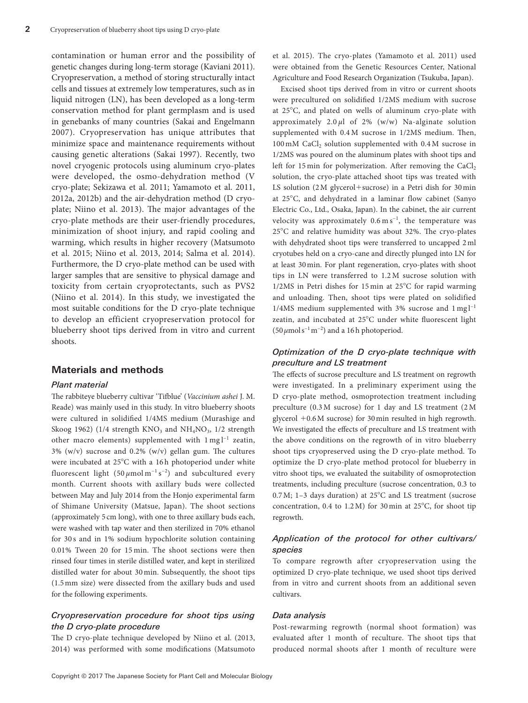contamination or human error and the possibility of genetic changes during long-term storage (Kaviani 2011). Cryopreservation, a method of storing structurally intact cells and tissues at extremely low temperatures, such as in liquid nitrogen (LN), has been developed as a long-term conservation method for plant germplasm and is used in genebanks of many countries (Sakai and Engelmann 2007). Cryopreservation has unique attributes that minimize space and maintenance requirements without causing genetic alterations (Sakai 1997). Recently, two novel cryogenic protocols using aluminum cryo-plates were developed, the osmo-dehydration method (V cryo-plate; Sekizawa et al. 2011; Yamamoto et al. 2011, 2012a, 2012b) and the air-dehydration method (D cryoplate; Niino et al. 2013). The major advantages of the cryo-plate methods are their user-friendly procedures, minimization of shoot injury, and rapid cooling and warming, which results in higher recovery (Matsumoto et al. 2015; Niino et al. 2013, 2014; Salma et al. 2014). Furthermore, the D cryo-plate method can be used with larger samples that are sensitive to physical damage and toxicity from certain cryoprotectants, such as PVS2 (Niino et al. 2014). In this study, we investigated the most suitable conditions for the D cryo-plate technique to develop an efficient cryopreservation protocol for blueberry shoot tips derived from in vitro and current shoots.

## **Materials and methods**

## *Plant material*

The rabbiteye blueberry cultivar 'Tifblue' (*Vaccinium ashei* J. M. Reade) was mainly used in this study. In vitro blueberry shoots were cultured in solidified 1/4MS medium (Murashige and Skoog 1962) (1/4 strength  $KNO_3$  and  $NH_4NO_3$ , 1/2 strength other macro elements) supplemented with  $1 \text{ mg} l^{-1}$  zeatin, 3% (w/v) sucrose and 0.2% (w/v) gellan gum. The cultures were incubated at 25°C with a 16h photoperiod under white fluorescent light (50 *µ*mol m−1 s−2) and subcultured every month. Current shoots with axillary buds were collected between May and July 2014 from the Honjo experimental farm of Shimane University (Matsue, Japan). The shoot sections (approximately 5 cm long), with one to three axillary buds each, were washed with tap water and then sterilized in 70% ethanol for 30 s and in 1% sodium hypochlorite solution containing 0.01% Tween 20 for 15 min. The shoot sections were then rinsed four times in sterile distilled water, and kept in sterilized distilled water for about 30 min. Subsequently, the shoot tips (1.5mm size) were dissected from the axillary buds and used for the following experiments.

## *Cryopreservation procedure for shoot tips using the D cryo-plate procedure*

The D cryo-plate technique developed by Niino et al. (2013, 2014) was performed with some modifications (Matsumoto

et al. 2015). The cryo-plates (Yamamoto et al. 2011) used were obtained from the Genetic Resources Center, National Agriculture and Food Research Organization (Tsukuba, Japan).

Excised shoot tips derived from in vitro or current shoots were precultured on solidified 1/2MS medium with sucrose at 25°C, and plated on wells of aluminum cryo-plate with approximately 2.0 *µ*l of 2% (w/w) Na-alginate solution supplemented with 0.4 M sucrose in 1/2MS medium. Then, 100 mM CaCl<sub>2</sub> solution supplemented with 0.4 M sucrose in 1/2MS was poured on the aluminum plates with shoot tips and left for  $15$  min for polymerization. After removing the CaCl, solution, the cryo-plate attached shoot tips was treated with LS solution (2M glycerol+sucrose) in a Petri dish for 30min at 25°C, and dehydrated in a laminar flow cabinet (Sanyo Electric Co., Ltd., Osaka, Japan). In the cabinet, the air current velocity was approximately  $0.6 \text{ m s}^{-1}$ , the temperature was 25°C and relative humidity was about 32%. The cryo-plates with dehydrated shoot tips were transferred to uncapped 2ml cryotubes held on a cryo-cane and directly plunged into LN for at least 30min. For plant regeneration, cryo-plates with shoot tips in LN were transferred to 1.2 M sucrose solution with 1/2MS in Petri dishes for 15 min at 25°C for rapid warming and unloading. Then, shoot tips were plated on solidified  $1/4MS$  medium supplemented with 3% sucrose and  $1 \text{ mg} l^{-1}$ zeatin, and incubated at 25°C under white fluorescent light (50  $\mu$ mols<sup>-1</sup> m<sup>-2</sup>) and a 16 h photoperiod.

## *Optimization of the D cryo-plate technique with preculture and LS treatment*

The effects of sucrose preculture and LS treatment on regrowth were investigated. In a preliminary experiment using the D cryo-plate method, osmoprotection treatment including preculture (0.3 M sucrose) for 1 day and LS treatment (2 M glycerol +0.6M sucrose) for 30min resulted in high regrowth. We investigated the effects of preculture and LS treatment with the above conditions on the regrowth of in vitro blueberry shoot tips cryopreserved using the D cryo-plate method. To optimize the D cryo-plate method protocol for blueberry in vitro shoot tips, we evaluated the suitability of osmoprotection treatments, including preculture (sucrose concentration, 0.3 to 0.7M; 1–3 days duration) at 25°C and LS treatment (sucrose concentration, 0.4 to 1.2M) for 30 min at 25°C, for shoot tip regrowth.

# *Application of the protocol for other cultivars/ species*

To compare regrowth after cryopreservation using the optimized D cryo-plate technique, we used shoot tips derived from in vitro and current shoots from an additional seven cultivars.

#### *Data analysis*

Post-rewarming regrowth (normal shoot formation) was evaluated after 1 month of reculture. The shoot tips that produced normal shoots after 1 month of reculture were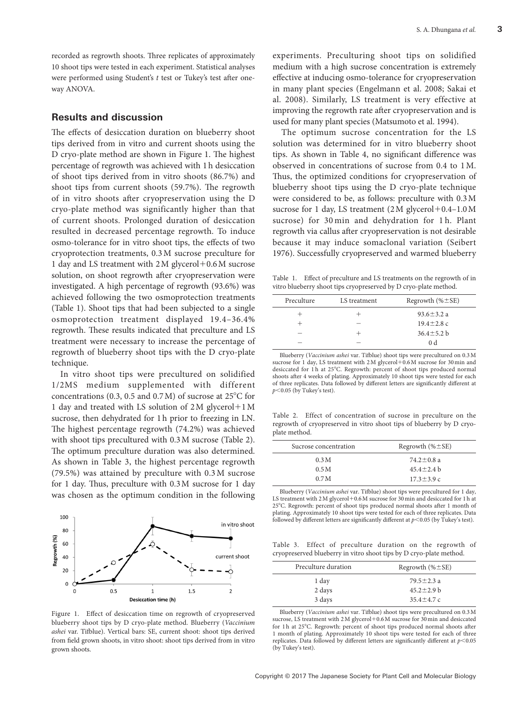recorded as regrowth shoots. Three replicates of approximately 10 shoot tips were tested in each experiment. Statistical analyses were performed using Student's *t* test or Tukey's test after oneway ANOVA.

## **Results and discussion**

The effects of desiccation duration on blueberry shoot tips derived from in vitro and current shoots using the D cryo-plate method are shown in Figure 1. The highest percentage of regrowth was achieved with 1h desiccation of shoot tips derived from in vitro shoots (86.7%) and shoot tips from current shoots (59.7%). The regrowth of in vitro shoots after cryopreservation using the D cryo-plate method was significantly higher than that of current shoots. Prolonged duration of desiccation resulted in decreased percentage regrowth. To induce osmo-tolerance for in vitro shoot tips, the effects of two cryoprotection treatments, 0.3M sucrose preculture for 1 day and LS treatment with 2M glycerol+0.6M sucrose solution, on shoot regrowth after cryopreservation were investigated. A high percentage of regrowth (93.6%) was achieved following the two osmoprotection treatments (Table 1). Shoot tips that had been subjected to a single osmoprotection treatment displayed 19.4–36.4% regrowth. These results indicated that preculture and LS treatment were necessary to increase the percentage of regrowth of blueberry shoot tips with the D cryo-plate technique.

In vitro shoot tips were precultured on solidified 1/2MS medium supplemented with different concentrations (0.3, 0.5 and 0.7M) of sucrose at 25°C for 1 day and treated with LS solution of 2M glycerol+1M sucrose, then dehydrated for 1h prior to freezing in LN. The highest percentage regrowth (74.2%) was achieved with shoot tips precultured with  $0.3$  M sucrose (Table 2). The optimum preculture duration was also determined. As shown in Table 3, the highest percentage regrowth (79.5%) was attained by preculture with 0.3 M sucrose for 1 day. Thus, preculture with 0.3M sucrose for 1 day was chosen as the optimum condition in the following



Figure 1. Effect of desiccation time on regrowth of cryopreserved blueberry shoot tips by D cryo-plate method. Blueberry (*Vaccinium ashei* var. Tifblue). Vertical bars: SE, current shoot: shoot tips derived from field grown shoots, in vitro shoot: shoot tips derived from in vitro grown shoots.

experiments. Preculturing shoot tips on solidified medium with a high sucrose concentration is extremely effective at inducing osmo-tolerance for cryopreservation in many plant species (Engelmann et al. 2008; Sakai et al. 2008). Similarly, LS treatment is very effective at improving the regrowth rate after cryopreservation and is used for many plant species (Matsumoto et al. 1994).

The optimum sucrose concentration for the LS solution was determined for in vitro blueberry shoot tips. As shown in Table 4, no significant difference was observed in concentrations of sucrose from 0.4 to 1M. Thus, the optimized conditions for cryopreservation of blueberry shoot tips using the D cryo-plate technique were considered to be, as follows: preculture with 0.3M sucrose for 1 day, LS treatment (2M glycerol +0.4–1.0M sucrose) for 30 min and dehydration for 1 h. Plant regrowth via callus after cryopreservation is not desirable because it may induce somaclonal variation (Seibert 1976). Successfully cryopreserved and warmed blueberry

Table 1. Effect of preculture and LS treatments on the regrowth of in vitro blueberry shoot tips cryopreserved by D cryo-plate method.

| Preculture               | LS treatment | Regrowth $(\% \pm SE)$ |  |
|--------------------------|--------------|------------------------|--|
|                          |              | $93.6 \pm 3.2 a$       |  |
|                          | $\sim$       | $19.4 \pm 2.8$ c       |  |
| $\overline{\phantom{a}}$ |              | $36.4 \pm 5.2$ b       |  |
|                          |              | 0 <sub>d</sub>         |  |

Blueberry (*Vaccinium ashei* var. Tifblue) shoot tips were precultured on 0.3M sucrose for 1 day, LS treatment with 2M glycerol+0.6M sucrose for 30 min and desiccated for 1 h at 25°C. Regrowth: percent of shoot tips produced normal shoots after 4 weeks of plating. Approximately 10 shoot tips were tested for each of three replicates. Data followed by different letters are significantly different at *p*<0.05 (by Tukey's test).

Table 2. Effect of concentration of sucrose in preculture on the regrowth of cryopreserved in vitro shoot tips of blueberry by D cryoplate method.

| Sucrose concentration | Regrowth $(\% \pm SE)$ |  |
|-----------------------|------------------------|--|
| 0.3M                  | $74.2 \pm 0.8$ a       |  |
| 0.5M                  | $45.4 \pm 2.4$ b       |  |
| 0.7 <sub>M</sub>      | $17.3 \pm 3.9 c$       |  |

Blueberry (*Vaccinium ashei* var. Tifblue) shoot tips were precultured for 1 day, LS treatment with 2 M glycerol + 0.6 M sucrose for 30 min and desiccated for 1 h at 25°C. Regrowth: percent of shoot tips produced normal shoots after 1 month of plating. Approximately 10 shoot tips were tested for each of three replicates. Data followed by different letters are significantly different at *p*<0.05 (by Tukey's test).

Table 3. Effect of preculture duration on the regrowth of cryopreserved blueberry in vitro shoot tips by D cryo-plate method.

| Regrowth $(\% \pm SE)$ |  |
|------------------------|--|
| $79.5 \pm 2.3$ a       |  |
| $45.2 \pm 2.9$ b       |  |
| $35.4 + 4.7c$          |  |
|                        |  |

Blueberry (*Vaccinium ashei* var. Tifblue) shoot tips were precultured on 0.3M sucrose, LS treatment with 2M glycerol+0.6M sucrose for 30min and desiccated for 1 h at 25°C. Regrowth: percent of shoot tips produced normal shoots after 1 month of plating. Approximately 10 shoot tips were tested for each of three replicates. Data followed by different letters are significantly different at *p*<0.05 (by Tukey's test).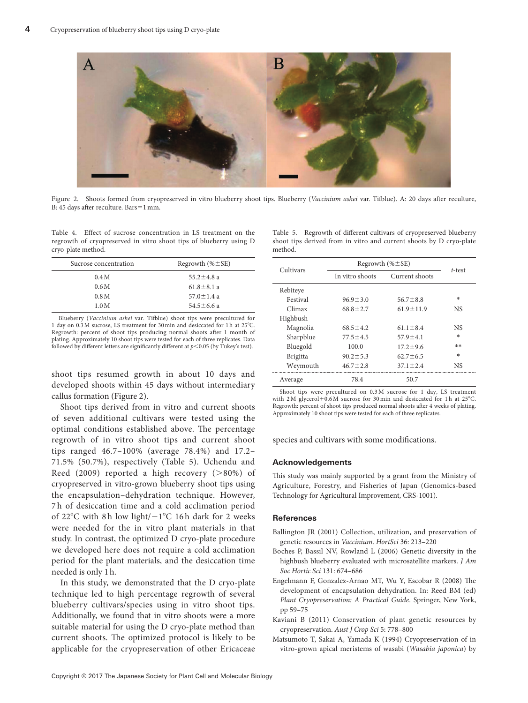

Figure 2. Shoots formed from cryopreserved in vitro blueberry shoot tips. Blueberry (*Vaccinium ashei* var. Tifblue). A: 20 days after reculture, B: 45 days after reculture. Bars=1mm.

Table 4. Effect of sucrose concentration in LS treatment on the regrowth of cryopreserved in vitro shoot tips of blueberry using D cryo-plate method.

| Sucrose concentration | Regrowth $(\% \pm SE)$ |
|-----------------------|------------------------|
| 0.4M                  | $55.2 \pm 4.8$ a       |
| 0.6M                  | $61.8 \pm 8.1 a$       |
| 0.8M                  | $57.0 \pm 1.4 a$       |
| 1.0M                  | $54.5 \pm 6.6$ a       |

Blueberry (*Vaccinium ashei* var. Tifblue) shoot tips were precultured for 1 day on 0.3M sucrose, LS treatment for 30min and desiccated for 1h at 25°C. Regrowth: percent of shoot tips producing normal shoots after 1 month of plating. Approximately 10 shoot tips were tested for each of three replicates. Data followed by different letters are significantly different at *p*<0.05 (by Tukey's test).

shoot tips resumed growth in about 10 days and developed shoots within 45 days without intermediary callus formation (Figure 2).

Shoot tips derived from in vitro and current shoots of seven additional cultivars were tested using the optimal conditions established above. The percentage regrowth of in vitro shoot tips and current shoot tips ranged 46.7–100% (average 78.4%) and 17.2– 71.5% (50.7%), respectively (Table 5). Uchendu and Reed (2009) reported a high recovery (>80%) of cryopreserved in vitro-grown blueberry shoot tips using the encapsulation–dehydration technique. However, 7 h of desiccation time and a cold acclimation period of 22°C with 8 h low light/−1°C 16 h dark for 2 weeks were needed for the in vitro plant materials in that study. In contrast, the optimized D cryo-plate procedure we developed here does not require a cold acclimation period for the plant materials, and the desiccation time needed is only 1h.

In this study, we demonstrated that the D cryo-plate technique led to high percentage regrowth of several blueberry cultivars/species using in vitro shoot tips. Additionally, we found that in vitro shoots were a more suitable material for using the D cryo-plate method than current shoots. The optimized protocol is likely to be applicable for the cryopreservation of other Ericaceae Table 5. Regrowth of different cultivars of cryopreserved blueberry shoot tips derived from in vitro and current shoots by D cryo-plate method.

| Cultivars       | Regrowth $(\% \pm SE)$ |                 |        |
|-----------------|------------------------|-----------------|--------|
|                 | In vitro shoots        | Current shoots  | t-test |
| Rebiteye        |                        |                 |        |
| Festival        | $96.9 \pm 3.0$         | $56.7 \pm 8.8$  | *      |
| Climax          | $68.8 \pm 2.7$         | $61.9 \pm 11.9$ | NS     |
| Highbush        |                        |                 |        |
| Magnolia        | $68.5 \pm 4.2$         | $61.1 \pm 8.4$  | NS     |
| Sharpblue       | $77.5 \pm 4.5$         | $57.9 \pm 4.1$  | $\ast$ |
| Bluegold        | 100.0                  | $17.2 \pm 9.6$  | **     |
| <b>Brigitta</b> | $90.2 \pm 5.3$         | $62.7 \pm 6.5$  | $\ast$ |
| Weymouth        | $46.7 \pm 2.8$         | $37.1 \pm 2.4$  | NS     |
| Average         | 78.4                   | 50.7            |        |

Shoot tips were precultured on 0.3 M sucrose for 1 day, LS treatment with 2 M glycerol +  $0.6$  M sucrose for 30 min and desiccated for 1 h at 25 $^{\circ}$ C. Regrowth: percent of shoot tips produced normal shoots after 4 weeks of plating. Approximately 10 shoot tips were tested for each of three replicates.

species and cultivars with some modifications.

### **Acknowledgements**

This study was mainly supported by a grant from the Ministry of Agriculture, Forestry, and Fisheries of Japan (Genomics-based Technology for Agricultural Improvement, CRS-1001).

#### **References**

- Ballington JR (2001) Collection, utilization, and preservation of genetic resources in *Vaccinium*. *HortSci* 36: 213–220
- Boches P, Bassil NV, Rowland L (2006) Genetic diversity in the highbush blueberry evaluated with microsatellite markers. *J Am Soc Hortic Sci* 131: 674–686
- Engelmann F, Gonzalez-Arnao MT, Wu Y, Escobar R (2008) The development of encapsulation dehydration. In: Reed BM (ed) *Plant Cryopreservation: A Practical Guide*. Springer, New York, pp 59–75
- Kaviani B (2011) Conservation of plant genetic resources by cryopreservation. *Aust J Crop Sci* 5: 778–800
- [Matsumoto T, Sakai A, Yamada K \(1994\) Cryopreservation of in](http://dx.doi.org/10.1007/BF00231963) [vitro-grown apical meristems of wasabi \(](http://dx.doi.org/10.1007/BF00231963)*Wasabia japonica*) by